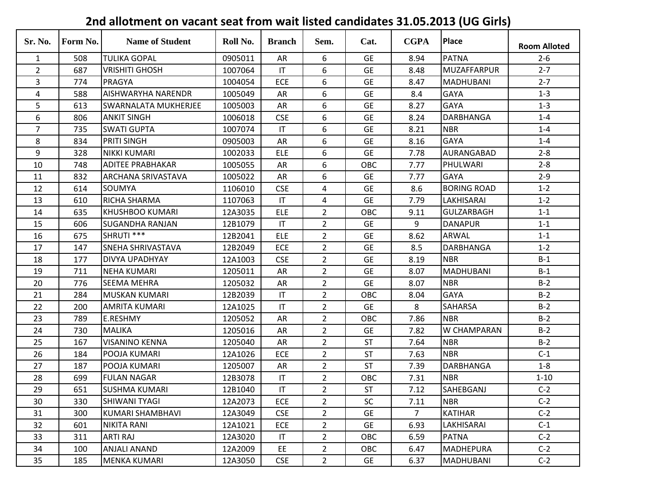## **Sr. No. Form No. Name of Student Roll No. Branch Sem. Cat. CGPA Place Room Alloted** 1 | 508 |TULIKA<code>GOPAL | 0905011</code> | AR | 6 | GE | 8.94 |PATNA | 2-6 2 | 687 |VRISHITI GHOSH | 1007064 | IT | 6 | GE | 8.48 |MUZAFFARPUR | 2-7 3 | 774 |PRAGYA | 1004054 | ECE | 6 | GE | 8.47 |MADHUBANI | 2-7 4 | 588 |AISHWARYHA NARENDR | 1005049 | AR | 6 | GE | 8.4 |GAYA | 1-3 5 613 SWARNALATA MUKHERJEE 1005003 AR 6 GE 8.27 GAYA 1-3 6 | 806 |ANKIT SINGH | 1006018 | CSE | 6 | GE | 8.24 |DARBHANGA | 1-4 7 | 735 |SWATI GUPTA | 1007074 | IT | 6 | GE | 8.21 |NBR | 1-4 8 | 834 |PRITI SINGH | 0905003 | AR | 6 | GE | 8.16 |GAYA | 1-4 9 | 328 |NIKKI KUMARI | 1002033 | ELE | 6 | GE | 7.78 |AURANGABAD | 2-8 10 | 748 |ADITEE PRABHAKAR | 1005055 | AR | 6 | OBC | 7.77 |PHULWARI | 2-8 11 | 832 | ARCHANA SRIVASTAVA | 1005022 | AR | 6 | GE | 7.77 | GAYA | 2-9 12 | 614 |SOUMYA | 1106010 | CSE | 4 | GE | 8.6 |BORING ROAD | 1-2 13 | 610 |RICHA SHARMA | 1107063 | IT | 4 | GE | 7.79 |LAKHISARAI | 1-2 14 | 635 |KHUSHBOO\_KUMARI | 12A3035 | ELE | 2 | OBC | 9.11 |GULZARBAGH | 1-1 15 606 SUGANDHA RANJAN 12B1079 IT 2 GE 9 DANAPUR 1-1 16 | 675 |SHRUTI \*\*\* | 12B2041 | ELE | 2 | GE | 8.62 |ARWAL | 1-1 17 | 147 | SNEHA SHRIVASTAVA | 12B2049 | ECE | 2 | GE | 8.5 | DARBHANGA | 1-2 18 | 177 |DIVYA<code>UPADHYAY |</code> 12A1003 | CSE | 2 | GE | 8.19 |NBR | B-1 19 | 711 |NEHA<code>KUMARI | 1205011</code> | AR | 2 | GE | 8.07 |MADHUBANI | B-1 20 | 776 |SEEMA MEHRA | 1205032 | AR | 2 | GE | 8.07 |NBR | B-2 21 | 284 |MUSKAN KUMARI | 12B2039 | IT | 2 | OBC | 8.04 |GAYA | B-2 22 | 200 |AMRITA KUMARI | 12A1025 | IT | 2 | GE | 8 |SAHARSA | B-2 23 | 789 |E.RESHMY | 1205052 | AR | 2 | OBC | 7.86 |NBR | B-2 24 | 730 |MALIKA | 1205016 | AR | 2 | GE | 7.82 |W<code>CHAMPARAN</code> B-2 25 | 167 | VISANINO KENNA | 1205040 | AR | 2 | ST | 7.64 | NBR | B-2 26 | 184 |POOJA KUMARI | 12A1026 | ECE | 2 | ST | 7.63 |NBR | C-1 27 | 187 |POOJA KUMARI | 1205007 | AR | 2 | ST | 7.39 |DARBHANGA | 1-8 28 | 699 |FULAN NAGAR | 12B3078 | IT | 2 | OBC | 7.31 |NBR | 1-10 29 | 651 |SUSHMA\_KUMARI | 12B1040 | IT | 2 | ST | 7.12 |SAHEBGANJ | C-2 30 | 330 |SHIWANI<code>TYAGI |</code> 12A2073 | ECE | 2 | SC | 7.11 |NBR | C-2 31 | 300 |KUMARI SHAMBHAVI | 12A3049 | CSE | 2 | GE | 7 |KATIHAR | C-2 32 | 601 |NIKITA-RANI | 12A1021 | ECE | 2 | GE | 6.93 |LAKHISARAI | C-1 33 | 311 |ARTI RAJ | 12A3020 | IT | 2 | OBC | 6.59 |PATNA | C-2 34 | 100 |ANJALI ANAND | 12A2009 | EE | 2 | OBC | 6.47 |MADHEPURA | C-2 35 | 185 |MENKA<code>KUMARI | 12A3050</code> | CSE | 2 | GE | 6.37 |MADHUBANI | C-2

## **2nd allotment on vacant seat from wait listed candidates 31.05.2013 (UG Girls)**